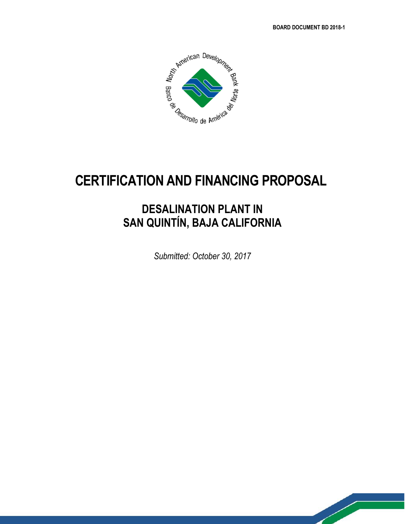$\overline{\mathscr{C}}$ 



# **CERTIFICATION AND FINANCING PROPOSAL**

# **DESALINATION PLANT IN SAN QUINTÍN, BAJA CALIFORNIA**

*Submitted: October 30, 2017*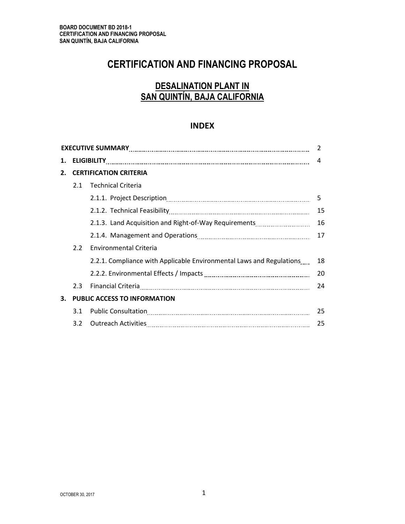# **CERTIFICATION AND FINANCING PROPOSAL**

# **DESALINATION PLANT IN SAN QUINTÍN, BAJA CALIFORNIA**

# **INDEX**

| 1.                                        |                               |                                                                      |    |
|-------------------------------------------|-------------------------------|----------------------------------------------------------------------|----|
| 2.                                        | <b>CERTIFICATION CRITERIA</b> |                                                                      |    |
|                                           | 2.1                           | <b>Technical Criteria</b>                                            |    |
|                                           |                               |                                                                      | 5  |
|                                           |                               |                                                                      | 15 |
|                                           |                               | 2.1.3. Land Acquisition and Right-of-Way Requirements                | 16 |
|                                           |                               |                                                                      | 17 |
|                                           | 2.2                           | <b>Environmental Criteria</b>                                        |    |
|                                           |                               | 2.2.1. Compliance with Applicable Environmental Laws and Regulations | 18 |
|                                           |                               |                                                                      | 20 |
|                                           | 2.3                           |                                                                      | 24 |
| <b>PUBLIC ACCESS TO INFORMATION</b><br>3. |                               |                                                                      |    |
|                                           | 3.1                           |                                                                      | 25 |
|                                           |                               |                                                                      | 25 |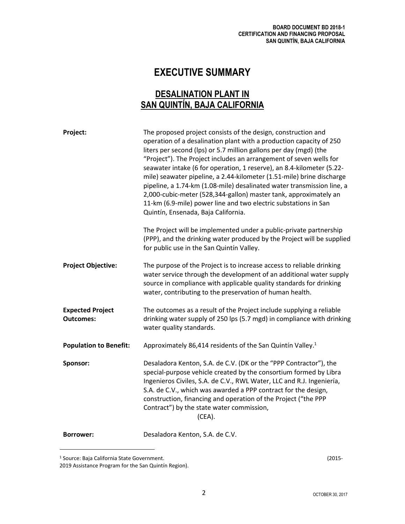# **EXECUTIVE SUMMARY**

# **DESALINATION PLANT IN SAN QUINTÍN, BAJA CALIFORNIA**

| Project:                                    | The proposed project consists of the design, construction and<br>operation of a desalination plant with a production capacity of 250<br>liters per second (lps) or 5.7 million gallons per day (mgd) (the<br>"Project"). The Project includes an arrangement of seven wells for<br>seawater intake (6 for operation, 1 reserve), an 8.4-kilometer (5.22-<br>mile) seawater pipeline, a 2.44-kilometer (1.51-mile) brine discharge<br>pipeline, a 1.74-km (1.08-mile) desalinated water transmission line, a<br>2,000-cubic-meter (528,344-gallon) master tank, approximately an<br>11-km (6.9-mile) power line and two electric substations in San<br>Quintín, Ensenada, Baja California.<br>The Project will be implemented under a public-private partnership<br>(PPP), and the drinking water produced by the Project will be supplied<br>for public use in the San Quintín Valley. |
|---------------------------------------------|----------------------------------------------------------------------------------------------------------------------------------------------------------------------------------------------------------------------------------------------------------------------------------------------------------------------------------------------------------------------------------------------------------------------------------------------------------------------------------------------------------------------------------------------------------------------------------------------------------------------------------------------------------------------------------------------------------------------------------------------------------------------------------------------------------------------------------------------------------------------------------------|
| <b>Project Objective:</b>                   | The purpose of the Project is to increase access to reliable drinking<br>water service through the development of an additional water supply<br>source in compliance with applicable quality standards for drinking<br>water, contributing to the preservation of human health.                                                                                                                                                                                                                                                                                                                                                                                                                                                                                                                                                                                                        |
| <b>Expected Project</b><br><b>Outcomes:</b> | The outcomes as a result of the Project include supplying a reliable<br>drinking water supply of 250 lps (5.7 mgd) in compliance with drinking<br>water quality standards.                                                                                                                                                                                                                                                                                                                                                                                                                                                                                                                                                                                                                                                                                                             |
| <b>Population to Benefit:</b>               | Approximately 86,414 residents of the San Quintín Valley. <sup>1</sup>                                                                                                                                                                                                                                                                                                                                                                                                                                                                                                                                                                                                                                                                                                                                                                                                                 |
| Sponsor:                                    | Desaladora Kenton, S.A. de C.V. (DK or the "PPP Contractor"), the<br>special-purpose vehicle created by the consortium formed by Libra<br>Ingenieros Civiles, S.A. de C.V., RWL Water, LLC and R.J. Ingeniería,<br>S.A. de C.V., which was awarded a PPP contract for the design,<br>construction, financing and operation of the Project ("the PPP<br>Contract") by the state water commission,<br>(CEA).                                                                                                                                                                                                                                                                                                                                                                                                                                                                             |
| <b>Borrower:</b>                            | Desaladora Kenton, S.A. de C.V.                                                                                                                                                                                                                                                                                                                                                                                                                                                                                                                                                                                                                                                                                                                                                                                                                                                        |

<sup>1</sup> Source: Baja California State Government. *Programa para la Atención de la Región de San Quintín 2015 2019* (2015-

<sup>2019</sup> Assistance Program for the San Quintín Region).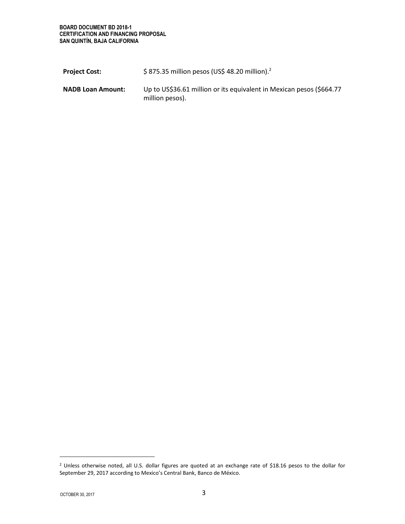**BOARD DOCUMENT BD 2018-1 CERTIFICATION AND FINANCING PROPOSAL SAN QUINTÍN, BAJA CALIFORNIA**

| <b>Project Cost:</b>     | \$875.35 million pesos (US\$48.20 million). <sup>2</sup>                                |
|--------------------------|-----------------------------------------------------------------------------------------|
| <b>NADB Loan Amount:</b> | Up to US\$36.61 million or its equivalent in Mexican pesos (\$664.77<br>million pesos). |

<sup>2</sup> Unless otherwise noted, all U.S. dollar figures are quoted at an exchange rate of \$18.16 pesos to the dollar for September 29, 2017 according to Mexico's Central Bank, Banco de México.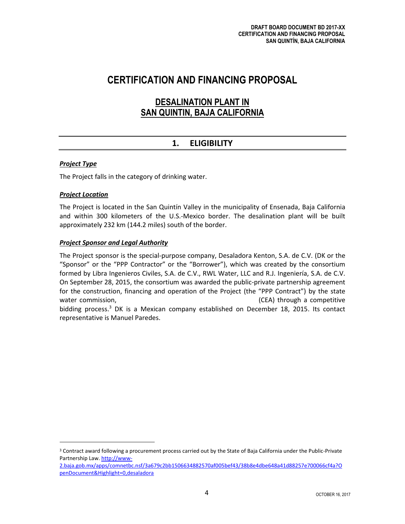# **CERTIFICATION AND FINANCING PROPOSAL**

# **DESALINATION PLANT IN SAN QUINTIN, BAJA CALIFORNIA**

# **1. ELIGIBILITY**

## *Project Type*

The Project falls in the category of drinking water.

## *Project Location*

 $\overline{a}$ 

The Project is located in the San Quintín Valley in the municipality of Ensenada, Baja California and within 300 kilometers of the U.S.-Mexico border. The desalination plant will be built approximately 232 km (144.2 miles) south of the border.

### *Project Sponsor and Legal Authority*

The Project sponsor is the special-purpose company, Desaladora Kenton, S.A. de C.V. (DK or the "Sponsor" or the "PPP Contractor" or the "Borrower"), which was created by the consortium formed by Libra Ingenieros Civiles, S.A. de C.V., RWL Water, LLC and R.J. Ingeniería, S.A. de C.V. On September 28, 2015, the consortium was awarded the public-private partnership agreement for the construction, financing and operation of the Project (the "PPP Contract") by the state water commission, **Estatable Estatal de Agua de Agua de Agua de Baja de Baja de Baja de Baja de Baja de Baja d** bidding process.<sup>3</sup> DK is a Mexican company established on December 18, 2015. Its contact representative is Manuel Paredes.

<sup>&</sup>lt;sup>3</sup> Contract award following a procurement process carried out by the State of Baja California under the Public-Private Partnership Law[. http://www-](http://www-2.baja.gob.mx/apps/comnetbc.nsf/3a679c2bb1506634882570af005bef43/38b8e4dbe648a41d88257e700066cf4a?OpenDocument&Highlight=0,desaladora)

[<sup>2.</sup>baja.gob.mx/apps/comnetbc.nsf/3a679c2bb1506634882570af005bef43/38b8e4dbe648a41d88257e700066cf4a?O](http://www-2.baja.gob.mx/apps/comnetbc.nsf/3a679c2bb1506634882570af005bef43/38b8e4dbe648a41d88257e700066cf4a?OpenDocument&Highlight=0,desaladora) [penDocument&Highlight=0,desaladora](http://www-2.baja.gob.mx/apps/comnetbc.nsf/3a679c2bb1506634882570af005bef43/38b8e4dbe648a41d88257e700066cf4a?OpenDocument&Highlight=0,desaladora)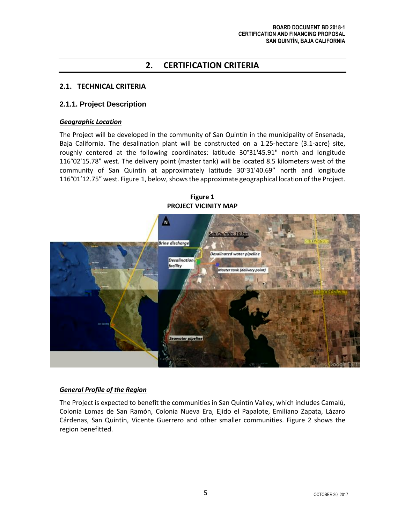# **2. CERTIFICATION CRITERIA**

## **2.1. TECHNICAL CRITERIA**

## **2.1.1. Project Description**

#### *Geographic Location*

The Project will be developed in the community of San Quintín in the municipality of Ensenada, Baja California. The desalination plant will be constructed on a 1.25-hectare (3.1-acre) site, roughly centered at the following coordinates: latitude 30°31'45.91" north and longitude 116°02'15.78" west. The delivery point (master tank) will be located 8.5 kilometers west of the community of San Quintín at approximately latitude 30°31'40.69" north and longitude 116°01'12.75" west. Figure 1, below, shows the approximate geographical location of the Project.



# **Figure 1**

## *General Profile of the Region*

The Project is expected to benefit the communities in San Quintín Valley, which includes Camalú, Colonia Lomas de San Ramón, Colonia Nueva Era, Ejido el Papalote, Emiliano Zapata, Lázaro Cárdenas, San Quintín, Vicente Guerrero and other smaller communities. Figure 2 shows the region benefitted.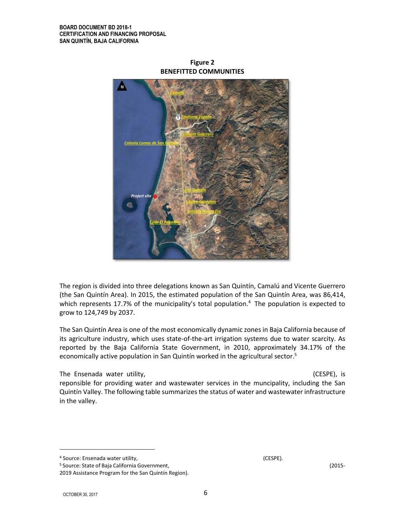**CERTIFICATION AND FINANCING PROPOSAL**

**BOARD DOCUMENT BD 2018-1**



**Figure 2 BENEFITTED COMMUNITIES**

The region is divided into three delegations known as San Quintín, Camalú and Vicente Guerrero (the San Quintín Area). In 2015, the estimated population of the San Quintín Area, was 86,414, which represents 17.7% of the municipality's total population.<sup>4</sup> The population is expected to grow to 124,749 by 2037.

The San Quintín Area is one of the most economically dynamic zones in Baja California because of its agriculture industry, which uses state-of-the-art irrigation systems due to water scarcity. As reported by the Baja California State Government, in 2010, approximately 34.17% of the economically active population in San Quintín worked in the agricultural sector.<sup>5</sup>

The Ensenada water utility, *Comisión Estatal de Servicios Públicos de Ensenada* (CESPE), is

reponsible for providing water and wastewater services in the muncipality, including the San Quintín Valley. The following table summarizes the status of water and wastewater infrastructure in the valley.

<sup>4</sup> Source: Ensenada water utility, *CESPE*).

<sup>5</sup> Source: State of Baja California Government, *Programa para la Atención de la Región de San Quintín 2015 2019* (2015-

<sup>2019</sup> Assistance Program for the San Quintín Region).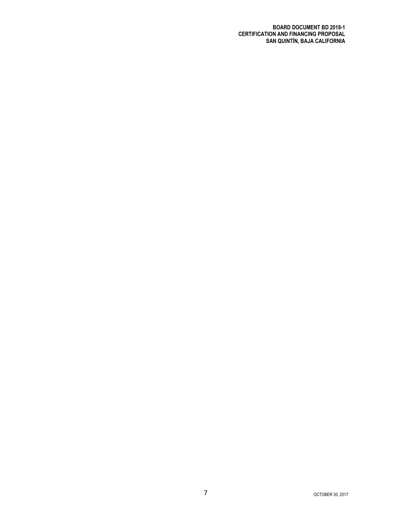#### **BOARD DOCUMENT BD 2018-1 CERTIFICATION AND FINANCING PROPOSAL SAN QUINTÍN, BAJA CALIFORNIA**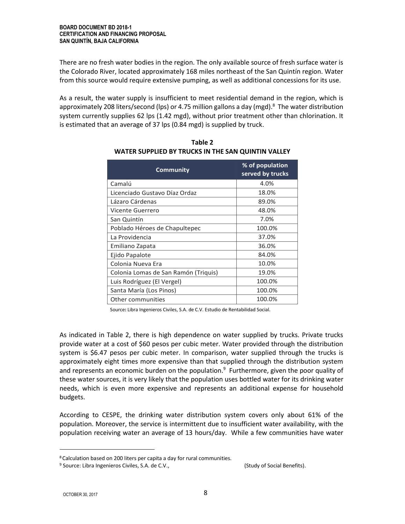There are no fresh water bodies in the region. The only available source of fresh surface water is the Colorado River, located approximately 168 miles northeast of the San Quintín region. Water from this source would require extensive pumping, as well as additional concessions for its use.

As a result, the water supply is insufficient to meet residential demand in the region, which is approximately 208 liters/second (lps) or 4.75 million gallons a day (mgd).<sup>8</sup> The water distribution system currently supplies 62 lps (1.42 mgd), without prior treatment other than chlorination. It is estimated that an average of 37 lps (0.84 mgd) is supplied by truck.

| Community                            | % of population<br>served by trucks |
|--------------------------------------|-------------------------------------|
| Camalú                               | 4.0%                                |
| Licenciado Gustavo Díaz Ordaz        | 18.0%                               |
| Lázaro Cárdenas                      | 89.0%                               |
| <b>Vicente Guerrero</b>              | 48.0%                               |
| San Quintín                          | 7.0%                                |
| Poblado Héroes de Chapultepec        | 100.0%                              |
| La Providencia                       | 37.0%                               |
| Emiliano Zapata                      | 36.0%                               |
| Ejido Papalote                       | 84.0%                               |
| Colonia Nueva Era                    | 10.0%                               |
| Colonia Lomas de San Ramón (Triquis) | 19.0%                               |
| Luis Rodríguez (El Vergel)           | 100.0%                              |
| Santa María (Los Pinos)              | 100.0%                              |
| Other communities                    | 100.0%                              |

**Table 2 WATER SUPPLIED BY TRUCKS IN THE SAN QUINTIN VALLEY** 

Source**:** Libra Ingenieros Civiles, S.A. de C.V. Estudio de Rentabilidad Social.

As indicated in Table 2, there is high dependence on water supplied by trucks. Private trucks provide water at a cost of \$60 pesos per cubic meter. Water provided through the distribution system is \$6.47 pesos per cubic meter. In comparison, water supplied through the trucks is approximately eight times more expensive than that supplied through the distribution system and represents an economic burden on the population.<sup>9</sup> Furthermore, given the poor quality of these water sources, it is very likely that the population uses bottled water for its drinking water needs, which is even more expensive and represents an additional expense for household budgets.

According to CESPE, the drinking water distribution system covers only about 61% of the population. Moreover, the service is intermittent due to insufficient water availability, with the population receiving water an average of 13 hours/day. While a few communities have water

<sup>8</sup> Calculation based on 200 liters per capita a day for rural communities.

<sup>&</sup>lt;sup>9</sup> Source: Libra Ingenieros Civiles, S.A. de C.V., **Estudio and Social Social Benefits**).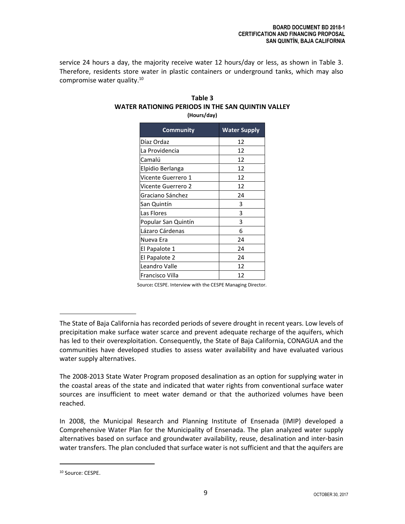service 24 hours a day, the majority receive water 12 hours/day or less, as shown in Table 3. Therefore, residents store water in plastic containers or underground tanks, which may also compromise water quality.<sup>10</sup>

| Community           | <b>Water Supply</b> |
|---------------------|---------------------|
| Díaz Ordaz          | 12                  |
| La Providencia      | 12                  |
| Camalú              | 12                  |
| Elpidio Berlanga    | 12                  |
| Vicente Guerrero 1  | 12                  |
| Vicente Guerrero 2  | 12                  |
| Graciano Sánchez    | 24                  |
| San Quintín         | 3                   |
| Las Flores          | 3                   |
| Popular San Quintín | 3                   |
| Lázaro Cárdenas     | 6                   |
| Nueva Fra           | 24                  |
| El Papalote 1       | 24                  |
| El Papalote 2       | 24                  |
| Leandro Valle       | 12                  |
| Francisco Villa     | 12                  |

#### **Table 3 WATER RATIONING PERIODS IN THE SAN QUINTIN VALLEY (Hours/day)**

Source**:** CESPE. Interview with the CESPE Managing Director.

The 2008-2013 State Water Program proposed desalination as an option for supplying water in the coastal areas of the state and indicated that water rights from conventional surface water sources are insufficient to meet water demand or that the authorized volumes have been reached.

In 2008, the Municipal Research and Planning Institute of Ensenada (IMIP) developed a Comprehensive Water Plan for the Municipality of Ensenada. The plan analyzed water supply alternatives based on surface and groundwater availability, reuse, desalination and inter-basin water transfers. The plan concluded that surface water is not sufficient and that the aquifers are

 $\overline{a}$ 

*Water upply lternatives*

The State of Baja California has recorded periods of severe drought in recent years. Low levels of precipitation make surface water scarce and prevent adequate recharge of the aquifers, which has led to their overexploitation. Consequently, the State of Baja California, CONAGUA and the communities have developed studies to assess water availability and have evaluated various water supply alternatives.

<sup>10</sup> Source: CESPE.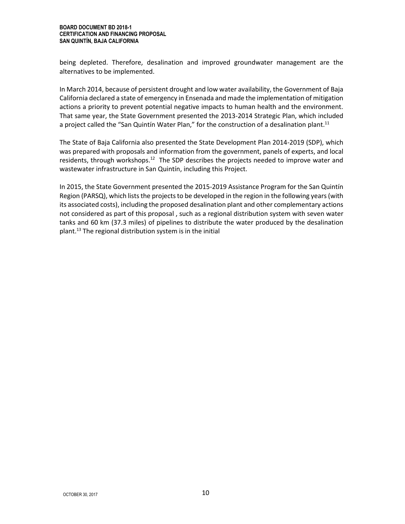#### **BOARD DOCUMENT BD 2018-1 CERTIFICATION AND FINANCING PROPOSAL SAN QUINTÍN, BAJA CALIFORNIA**

being depleted. Therefore, desalination and improved groundwater management are the alternatives to be implemented.

In March 2014, because of persistent drought and low water availability, the Government of Baja California declared a state of emergency in Ensenada and made the implementation of mitigation actions a priority to prevent potential negative impacts to human health and the environment. That same year, the State Government presented the 2013-2014 Strategic Plan, which included a project called the "San Quintín Water Plan," for the construction of a desalination plant.<sup>11</sup>

The State of Baja California also presented the State Development Plan 2014-2019 (SDP), which was prepared with proposals and information from the government, panels of experts, and local residents, through workshops.<sup>12</sup> The SDP describes the projects needed to improve water and wastewater infrastructure in San Quintín, including this Project.

In 2015, the State Government presented the 2015-2019 Assistance Program for the San Quintín Region (PARSQ), which lists the projects to be developed in the region in the following years(with its associated costs), including the proposed desalination plant and other complementary actions not considered as part of this proposal , such as a regional distribution system with seven water tanks and 60 km (37.3 miles) of pipelines to distribute the water produced by the desalination plant.<sup>13</sup> The regional distribution system is in the initial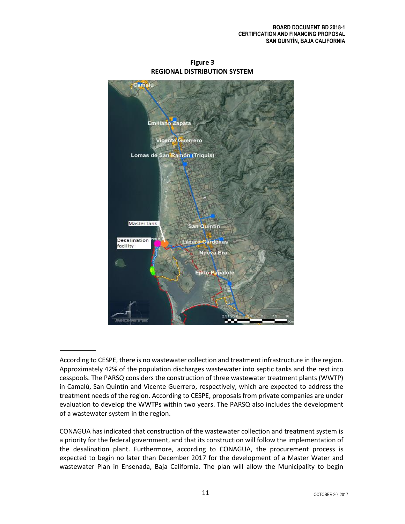

**Figure 3 REGIONAL DISTRIBUTION SYSTEM**

*Wastewater*

CONAGUA has indicated that construction of the wastewater collection and treatment system is a priority for the federal government, and that its construction will follow the implementation of the desalination plant. Furthermore, according to CONAGUA, the procurement process is expected to begin no later than December 2017 for the development of a Master Water and wastewater Plan in Ensenada, Baja California. The plan will allow the Municipality to begin

According to CESPE, there is no wastewater collection and treatment infrastructure in the region. Approximately 42% of the population discharges wastewater into septic tanks and the rest into cesspools. The PARSQ considers the construction of three wastewater treatment plants (WWTP) in Camalú, San Quintín and Vicente Guerrero, respectively, which are expected to address the treatment needs of the region. According to CESPE, proposals from private companies are under evaluation to develop the WWTPs within two years. The PARSQ also includes the development of a wastewater system in the region.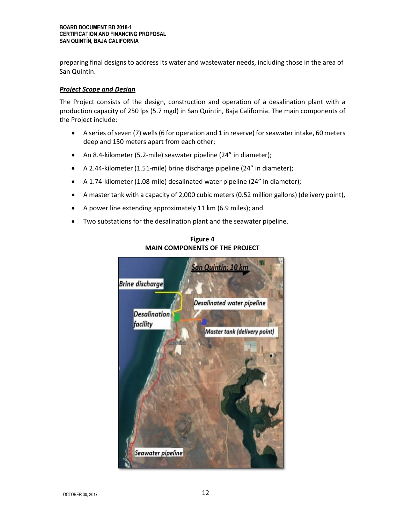#### **BOARD DOCUMENT BD 2018-1 CERTIFICATION AND FINANCING PROPOSAL SAN QUINTÍN, BAJA CALIFORNIA**

preparing final designs to address its water and wastewater needs, including those in the area of San Quintín.

#### *Project Scope and Design*

The Project consists of the design, construction and operation of a desalination plant with a production capacity of 250 lps (5.7 mgd) in San Quintín, Baja California. The main components of the Project include:

- A series of seven (7) wells(6 for operation and 1 in reserve) for seawater intake, 60 meters deep and 150 meters apart from each other;
- An 8.4-kilometer (5.2-mile) seawater pipeline (24" in diameter);
- A 2.44-kilometer (1.51-mile) brine discharge pipeline (24" in diameter);
- A 1.74-kilometer (1.08-mile) desalinated water pipeline (24" in diameter);
- A master tank with a capacity of 2,000 cubic meters (0.52 million gallons) (delivery point),
- A power line extending approximately 11 km (6.9 miles); and
- Two substations for the desalination plant and the seawater pipeline.



**Figure 4 MAIN COMPONENTS OF THE PROJECT**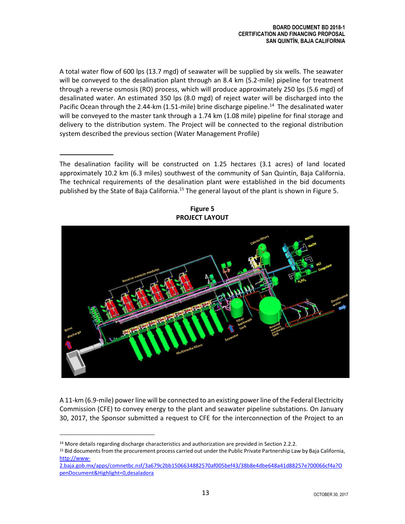A total water flow of 600 lps (13.7 mgd) of seawater will be supplied by six wells. The seawater will be conveyed to the desalination plant through an 8.4 km (5.2-mile) pipeline for treatment through a reverse osmosis (RO) process, which will produce approximately 250 lps (5.6 mgd) of desalinated water. An estimated 350 lps (8.0 mgd) of reject water will be discharged into the Pacific Ocean through the 2.44-km (1.51-mile) brine discharge pipeline.<sup>14</sup> The desalinated water will be conveyed to the master tank through a 1.74 km (1.08 mile) pipeline for final storage and delivery to the distribution system. The Project will be connected to the regional distribution system described the previous section (Water Management Profile)

The desalination facility will be constructed on 1.25 hectares (3.1 acres) of land located approximately 10.2 km (6.3 miles) southwest of the community of San Quintín, Baja California. The technical requirements of the desalination plant were established in the bid documents published by the State of Baja California.<sup>15</sup> The general layout of the plant is shown in Figure 5.

*Desalination plant*

 $\overline{a}$ 



**Figure 5 PROJECT LAYOUT**

A 11-km (6.9-mile) power line will be connected to an existing power line of the Federal Electricity Commission (CFE) to convey energy to the plant and seawater pipeline substations. On January 30, 2017, the Sponsor submitted a request to CFE for the interconnection of the Project to an

<sup>&</sup>lt;sup>14</sup> More details regarding discharge characteristics and authorization are provided in Section 2.2.2.

<sup>&</sup>lt;sup>15</sup> Bid documents from the procurement process carried out under the Public Private Partnership Law by Baja California, [http://www-](http://www-2.baja.gob.mx/apps/comnetbc.nsf/3a679c2bb1506634882570af005bef43/38b8e4dbe648a41d88257e700066cf4a?OpenDocument&Highlight=0,desaladora)

[<sup>2.</sup>baja.gob.mx/apps/comnetbc.nsf/3a679c2bb1506634882570af005bef43/38b8e4dbe648a41d88257e700066cf4a?O](http://www-2.baja.gob.mx/apps/comnetbc.nsf/3a679c2bb1506634882570af005bef43/38b8e4dbe648a41d88257e700066cf4a?OpenDocument&Highlight=0,desaladora) [penDocument&Highlight=0,desaladora](http://www-2.baja.gob.mx/apps/comnetbc.nsf/3a679c2bb1506634882570af005bef43/38b8e4dbe648a41d88257e700066cf4a?OpenDocument&Highlight=0,desaladora)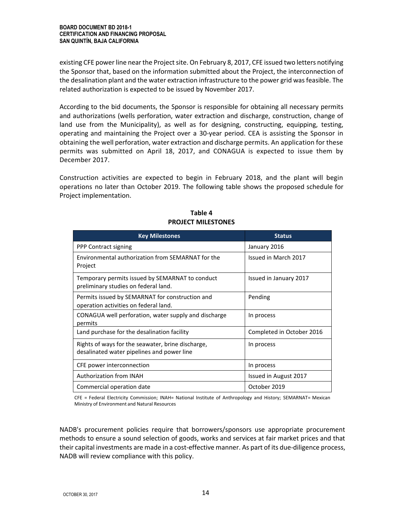existing CFE power line near the Project site. On February 8, 2017, CFE issued two letters notifying the Sponsor that, based on the information submitted about the Project, the interconnection of the desalination plant and the water extraction infrastructure to the power grid was feasible. The related authorization is expected to be issued by November 2017.

According to the bid documents, the Sponsor is responsible for obtaining all necessary permits and authorizations (wells perforation, water extraction and discharge, construction, change of land use from the Municipality), as well as for designing, constructing, equipping, testing, operating and maintaining the Project over a 30‐year period. CEA is assisting the Sponsor in obtaining the well perforation, water extraction and discharge permits. An application for these permits was submitted on April 18, 2017, and CONAGUA is expected to issue them by December 2017.

Construction activities are expected to begin in February 2018, and the plant will begin operations no later than October 2019. The following table shows the proposed schedule for Project implementation.

| <b>Key Milestones</b>                                                                           | <b>Status</b>             |  |
|-------------------------------------------------------------------------------------------------|---------------------------|--|
| <b>PPP Contract signing</b>                                                                     | January 2016              |  |
| Environmental authorization from SEMARNAT for the<br>Project                                    | Issued in March 2017      |  |
| Temporary permits issued by SEMARNAT to conduct<br>preliminary studies on federal land.         | Issued in January 2017    |  |
| Permits issued by SEMARNAT for construction and<br>operation activities on federal land.        | Pending                   |  |
| CONAGUA well perforation, water supply and discharge<br>permits                                 | In process                |  |
| Land purchase for the desalination facility                                                     | Completed in October 2016 |  |
| Rights of ways for the seawater, brine discharge,<br>desalinated water pipelines and power line | In process                |  |
| CFE power interconnection                                                                       | In process                |  |
| Authorization from INAH                                                                         | Issued in August 2017     |  |
| Commercial operation date                                                                       | October 2019              |  |

## **Table 4 PROJECT MILESTONES**

CFE = Federal Electricity Commission; INAH= National Institute of Anthropology and History; SEMARNAT= Mexican Ministry of Environment and Natural Resources

NADB's procurement policies require that borrowers/sponsors use appropriate procurement methods to ensure a sound selection of goods, works and services at fair market prices and that their capital investments are made in a cost-effective manner. As part of its due-diligence process, NADB will review compliance with this policy.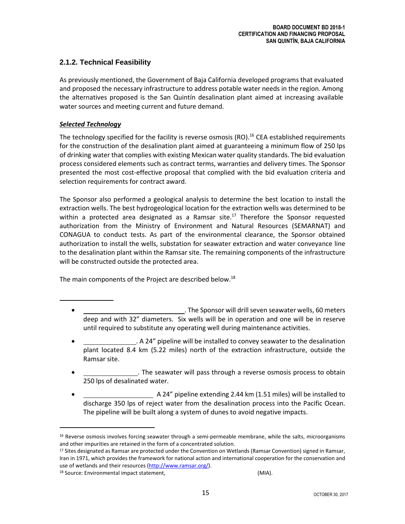# **2.1.2. Technical Feasibility**

As previously mentioned, the Government of Baja California developed programs that evaluated and proposed the necessary infrastructure to address potable water needs in the region. Among the alternatives proposed is the San Quintín desalination plant aimed at increasing available water sources and meeting current and future demand.

## *Selected Technology*

*Desalination plant*

The technology specified for the facility is reverse osmosis  $(RO).$ <sup>16</sup> CEA established requirements for the construction of the desalination plant aimed at guaranteeing a minimum flow of 250 lps of drinking water that complies with existing Mexican water quality standards. The bid evaluation process considered elements such as contract terms, warranties and delivery times. The Sponsor presented the most cost-effective proposal that complied with the bid evaluation criteria and selection requirements for contract award.

The Sponsor also performed a geological analysis to determine the best location to install the extraction wells. The best hydrogeological location for the extraction wells was determined to be within a protected area designated as a Ramsar site.<sup>17</sup> Therefore the Sponsor requested authorization from the Ministry of Environment and Natural Resources (SEMARNAT) and CONAGUA to conduct tests. As part of the environmental clearance, the Sponsor obtained authorization to install the wells, substation for seawater extraction and water conveyance line to the desalination plant within the Ramsar site. The remaining components of the infrastructure will be constructed outside the protected area.

The main components of the Project are described below.<sup>18</sup>

- *Seawater extraction infrastructure*. The Sponsor will drill seven seawater wells, 60 meters deep and with 32" diameters. Six wells will be in operation and one will be in reserve until required to substitute any operating well during maintenance activities.
- *Seawater pipeline*. A 24" pipeline will be installed to convey seawater to the desalination plant located 8.4 km (5.22 miles) north of the extraction infrastructure, outside the Ramsar site.
- . The seawater will pass through a reverse osmosis process to obtain 250 lps of desalinated water.
- **bine discript in A 24<sup>"</sup>** pipeline extending 2.44 km (1.51 miles) will be installed to discharge 350 lps of reject water from the desalination process into the Pacific Ocean. The pipeline will be built along a system of dunes to avoid negative impacts.

<sup>&</sup>lt;sup>16</sup> Reverse osmosis involves forcing seawater through a semi-permeable membrane, while the salts, microorganisms and other impurities are retained in the form of a concentrated solution.

<sup>&</sup>lt;sup>17</sup> Sites designated as Ramsar are protected under the Convention on Wetlands (Ramsar Convention) signed in Ramsar, Iran in 1971, which provides the framework for national action and international cooperation for the conservation and use of wetlands and their resources [\(http://www.ramsar.org/\)](http://www.ramsar.org/).

<sup>18</sup> Source: Environmental impact statement, *Impacto Ambiental* (MIA).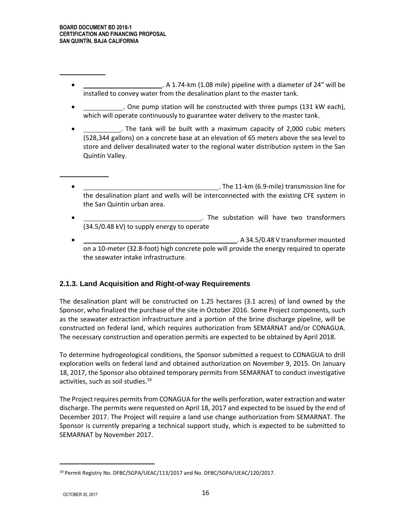*Delivery system* 

*Electrical system* 

- *Desalinated water pipeline*. A 1.74-km (1.08 mile) pipeline with a diameter of 24" will be installed to convey water from the desalination plant to the master tank.
- *Pump station*. One pump station will be constructed with three pumps (131 kW each), which will operate continuously to guarantee water delivery to the master tank.
- **Masser 10 and 10 and 10 and 10 and 10 and 10 and 10 and 10 and 10 and 10 and 10 and 10 and 10 and 10 and 10 and 10 and 10 and 10 and 10 and 10 and 10 and 10 and 10 and 10 and 10 and 10 and 10 and 10 and 10 and 10 and 10** (528,344 gallons) on a concrete base at an elevation of 65 meters above the sea level to store and deliver desalinated water to the regional water distribution system in the San Quintín Valley.
- *Power line for the desalination plant and wells*. The 11-km (6.9-mile) transmission line for the desalination plant and wells will be interconnected with the existing CFE system in the San Quintín urban area.
- **Substation for the desamble the desamble the design of the substation will have two transformers** (34.5/0.48 kV) to supply energy to operate
- *Substation for the seawater extraction infrastructure*. A 34.5/0.48 V transformer mounted on a 10-meter (32.8-foot) high concrete pole will provide the energy required to operate the seawater intake infrastructure.

# **2.1.3. Land Acquisition and Right-of-way Requirements**

The desalination plant will be constructed on 1.25 hectares (3.1 acres) of land owned by the Sponsor, who finalized the purchase of the site in October 2016. Some Project components, such as the seawater extraction infrastructure and a portion of the brine discharge pipeline, will be constructed on federal land, which requires authorization from SEMARNAT and/or CONAGUA. The necessary construction and operation permits are expected to be obtained by April 2018.

To determine hydrogeological conditions, the Sponsor submitted a request to CONAGUA to drill exploration wells on federal land and obtained authorization on November 9, 2015. On January 18, 2017, the Sponsor also obtained temporary permits from SEMARNAT to conduct investigative activities, such as soil studies.<sup>19</sup>

The Project requires permits from CONAGUA for the wells perforation, water extraction and water discharge. The permits were requested on April 18, 2017 and expected to be issued by the end of December 2017. The Project will require a land use change authorization from SEMARNAT. The Sponsor is currently preparing a technical support study, which is expected to be submitted to SEMARNAT by November 2017.

 $\overline{a}$ 

<sup>&</sup>lt;sup>19</sup> Permit Registry No. DFBC/SGPA/UEAC/113/2017 and No. DFBC/SGPA/UEAC/120/2017.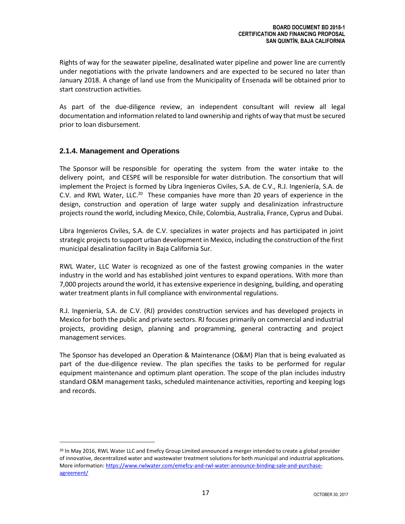Rights of way for the seawater pipeline, desalinated water pipeline and power line are currently under negotiations with the private landowners and are expected to be secured no later than January 2018. A change of land use from the Municipality of Ensenada will be obtained prior to start construction activities.

As part of the due-diligence review, an independent consultant will review all legal documentation and information related to land ownership and rights of way that must be secured prior to loan disbursement.

# **2.1.4. Management and Operations**

 $\overline{a}$ 

The Sponsor will be responsible for operating the system from the water intake to the delivery point, and CESPE will be responsible for water distribution. The consortium that will implement the Project is formed by Libra Ingenieros Civiles, S.A. de C.V., R.J. Ingeniería, S.A. de C.V. and RWL Water, LLC.<sup>20</sup> These companies have more than 20 years of experience in the design, construction and operation of large water supply and desalinization infrastructure projects round the world, including Mexico, Chile, Colombia, Australia, France, Cyprus and Dubai.

Libra Ingenieros Civiles, S.A. de C.V. specializes in water projects and has participated in joint strategic projects to support urban development in Mexico, including the construction of the first municipal desalination facility in Baja California Sur.

RWL Water, LLC Water is recognized as one of the fastest growing companies in the water industry in the world and has established joint ventures to expand operations. With more than 7,000 projects around the world, it has extensive experience in designing, building, and operating water treatment plants in full compliance with environmental regulations.

R.J. Ingeniería, S.A. de C.V. (RJ) provides construction services and has developed projects in Mexico for both the public and private sectors. RJ focuses primarily on commercial and industrial projects, providing design, planning and programming, general contracting and project management services.

The Sponsor has developed an Operation & Maintenance (O&M) Plan that is being evaluated as part of the due-diligence review. The plan specifies the tasks to be performed for regular equipment maintenance and optimum plant operation. The scope of the plan includes industry standard O&M management tasks, scheduled maintenance activities, reporting and keeping logs and records.

<sup>&</sup>lt;sup>20</sup> In May 2016, RWL Water LLC and Emefcy Group Limited announced a merger intended to create a global provider of innovative, decentralized water and wastewater treatment solutions for both municipal and industrial applications. More information: [https://www.rwlwater.com/emefcy-and-rwl-water-announce-binding-sale-and-purchase](https://www.rwlwater.com/emefcy-and-rwl-water-announce-binding-sale-and-purchase-agreement/)[agreement/](https://www.rwlwater.com/emefcy-and-rwl-water-announce-binding-sale-and-purchase-agreement/)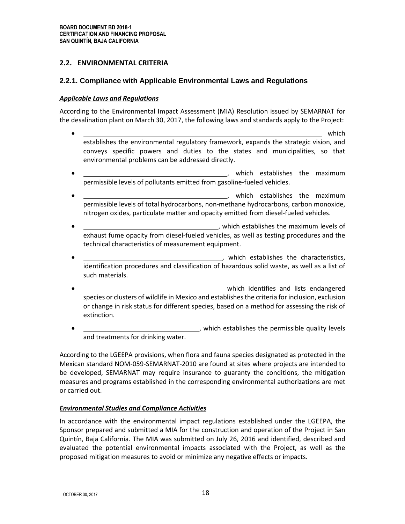## **2.2. ENVIRONMENTAL CRITERIA**

### **2.2.1. Compliance with Applicable Environmental Laws and Regulations**

#### *Applicable Laws and Regulations*

According to the Environmental Impact Assessment (MIA) Resolution issued by SEMARNAT for the desalination plant on March 30, 2017, the following laws and standards apply to the Project:

- *General Law of Ecological Balance and Environmental Protection (LGEEPA),* which establishes the environmental regulatory framework, expands the strategic vision, and conveys specific powers and duties to the states and municipalities, so that environmental problems can be addressed directly.
- <u>Federal Standard Nome of the maximum</u> which establishes the maximum permissible levels of pollutants emitted from gasoline-fueled vehicles.
- *Federal Standard NOM 04 SEMARNAT 2006*, which establishes the maximum permissible levels of total hydrocarbons, non-methane hydrocarbons, carbon monoxide, nitrogen oxides, particulate matter and opacity emitted from diesel-fueled vehicles.
- **Federal Standard No. 36** *Standard No. 36 Standard Moment 2006*, which establishes the maximum levels of exhaust fume opacity from diesel-fueled vehicles, as well as testing procedures and the technical characteristics of measurement equipment.
- *Federal Standard NOM 052 SEMARNAT 2005*, which establishes the characteristics, identification procedures and classification of hazardous solid waste, as well as a list of such materials.
- *Federal Standard NOM 059 SEMARNAT 2010* which identifies and lists endangered species or clusters of wildlife in Mexico and establishes the criteria for inclusion, exclusion or change in risk status for different species, based on a method for assessing the risk of extinction.
- *Federal Standard NOM 127 SSA1 1994*, which establishes the permissible quality levels and treatments for drinking water.

According to the LGEEPA provisions, when flora and fauna species designated as protected in the Mexican standard NOM-059-SEMARNAT-2010 are found at sites where projects are intended to be developed, SEMARNAT may require insurance to guaranty the conditions, the mitigation measures and programs established in the corresponding environmental authorizations are met or carried out.

### *Environmental Studies and Compliance Activities*

In accordance with the environmental impact regulations established under the LGEEPA, the Sponsor prepared and submitted a MIA for the construction and operation of the Project in San Quintín, Baja California. The MIA was submitted on July 26, 2016 and identified, described and evaluated the potential environmental impacts associated with the Project, as well as the proposed mitigation measures to avoid or minimize any negative effects or impacts.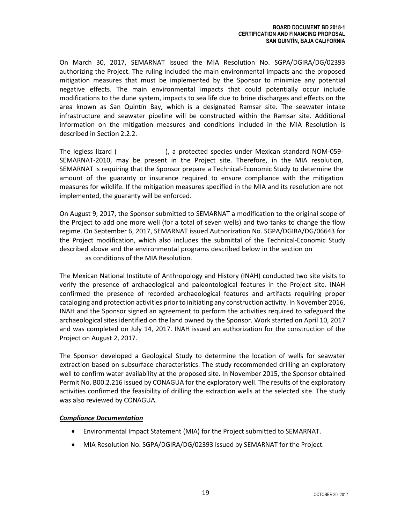On March 30, 2017, SEMARNAT issued the MIA Resolution No. SGPA/DGIRA/DG/02393 authorizing the Project. The ruling included the main environmental impacts and the proposed mitigation measures that must be implemented by the Sponsor to minimize any potential negative effects. The main environmental impacts that could potentially occur include modifications to the dune system, impacts to sea life due to brine discharges and effects on the area known as San Quintín Bay, which is a designated Ramsar site. The seawater intake infrastructure and seawater pipeline will be constructed within the Ramsar site. Additional information on the mitigation measures and conditions included in the MIA Resolution is described in Section 2.2.2.

The legless lizard (*Anniella pulchra*), a protected species under Mexican standard NOM-059- SEMARNAT-2010, may be present in the Project site. Therefore, in the MIA resolution, SEMARNAT is requiring that the Sponsor prepare a Technical-Economic Study to determine the amount of the guaranty or insurance required to ensure compliance with the mitigation measures for wildlife. If the mitigation measures specified in the MIA and its resolution are not implemented, the guaranty will be enforced.

On August 9, 2017, the Sponsor submitted to SEMARNAT a modification to the original scope of the Project to add one more well (for a total of seven wells) and two tanks to change the flow regime. On September 6, 2017, SEMARNAT issued Authorization No. SGPA/DGIRA/DG/06643 for the Project modification, which also includes the submittal of the Technical-Economic Study described above and the environmental programs described below in the section on

*of Risks* as conditions of the MIA Resolution.

The Mexican National Institute of Anthropology and History (INAH) conducted two site visits to verify the presence of archaeological and paleontological features in the Project site. INAH confirmed the presence of recorded archaeological features and artifacts requiring proper cataloging and protection activities prior to initiating any construction activity. In November 2016, INAH and the Sponsor signed an agreement to perform the activities required to safeguard the archaeological sites identified on the land owned by the Sponsor. Work started on April 10, 2017 and was completed on July 14, 2017. INAH issued an authorization for the construction of the Project on August 2, 2017.

The Sponsor developed a Geological Study to determine the location of wells for seawater extraction based on subsurface characteristics. The study recommended drilling an exploratory well to confirm water availability at the proposed site. In November 2015, the Sponsor obtained Permit No. B00.2.216 issued by CONAGUA for the exploratory well. The results of the exploratory activities confirmed the feasibility of drilling the extraction wells at the selected site. The study was also reviewed by CONAGUA.

### *Compliance Documentation*

- Environmental Impact Statement (MIA) for the Project submitted to SEMARNAT.
- MIA Resolution No. SGPA/DGIRA/DG/02393 issued by SEMARNAT for the Project.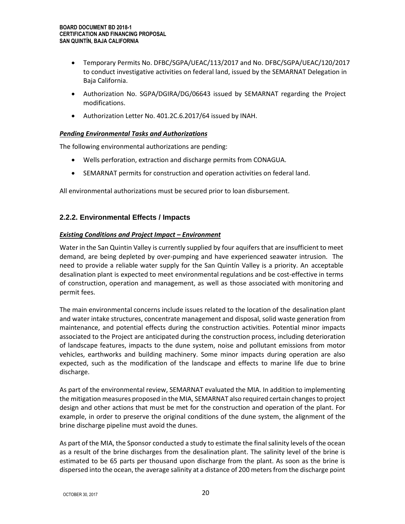#### **BOARD DOCUMENT BD 2018-1 CERTIFICATION AND FINANCING PROPOSAL SAN QUINTÍN, BAJA CALIFORNIA**

- Temporary Permits No. DFBC/SGPA/UEAC/113/2017 and No. DFBC/SGPA/UEAC/120/2017 to conduct investigative activities on federal land, issued by the SEMARNAT Delegation in Baja California.
- Authorization No. SGPA/DGIRA/DG/06643 issued by SEMARNAT regarding the Project modifications.
- Authorization Letter No. 401.2C.6.2017/64 issued by INAH.

#### *Pending Environmental Tasks and Authorizations*

The following environmental authorizations are pending:

- Wells perforation, extraction and discharge permits from CONAGUA.
- SEMARNAT permits for construction and operation activities on federal land.

All environmental authorizations must be secured prior to loan disbursement.

### **2.2.2. Environmental Effects / Impacts**

#### *Existing Conditions and Project Impact – Environment*

Water in the San Quintin Valley is currently supplied by four aquifers that are insufficient to meet demand, are being depleted by over-pumping and have experienced seawater intrusion. The need to provide a reliable water supply for the San Quintín Valley is a priority. An acceptable desalination plant is expected to meet environmental regulations and be cost‐effective in terms of construction, operation and management, as well as those associated with monitoring and permit fees.

The main environmental concerns include issues related to the location of the desalination plant and water intake structures, concentrate management and disposal, solid waste generation from maintenance, and potential effects during the construction activities. Potential minor impacts associated to the Project are anticipated during the construction process, including deterioration of landscape features, impacts to the dune system, noise and pollutant emissions from motor vehicles, earthworks and building machinery. Some minor impacts during operation are also expected, such as the modification of the landscape and effects to marine life due to brine discharge.

As part of the environmental review, SEMARNAT evaluated the MIA. In addition to implementing the mitigation measures proposed in the MIA, SEMARNAT also required certain changes to project design and other actions that must be met for the construction and operation of the plant. For example, in order to preserve the original conditions of the dune system, the alignment of the brine discharge pipeline must avoid the dunes.

As part of the MIA, the Sponsor conducted a study to estimate the final salinity levels of the ocean as a result of the brine discharges from the desalination plant. The salinity level of the brine is estimated to be 65 parts per thousand upon discharge from the plant. As soon as the brine is dispersed into the ocean, the average salinity at a distance of 200 meters from the discharge point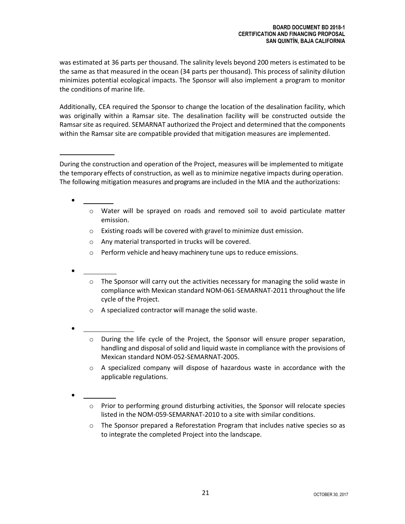was estimated at 36 parts per thousand. The salinity levels beyond 200 meters is estimated to be the same as that measured in the ocean (34 parts per thousand). This process of salinity dilution minimizes potential ecological impacts. The Sponsor will also implement a program to monitor the conditions of marine life.

Additionally, CEA required the Sponsor to change the location of the desalination facility, which was originally within a Ramsar site. The desalination facility will be constructed outside the Ramsar site as required. SEMARNAT authorized the Project and determined that the components within the Ramsar site are compatible provided that mitigation measures are implemented.

During the construction and operation of the Project, measures will be implemented to mitigate the temporary effects of construction, as well as to minimize negative impacts during operation. The following mitigation measures and programs are included in the MIA and the authorizations:

- o Water will be sprayed on roads and removed soil to avoid particulate matter emission.
	- o Existing roads will be covered with gravel to minimize dust emission.
	- o Any material transported in trucks will be covered.
	- o Perform vehicle and heavy machinery tune ups to reduce emissions.
- *Solid waste*

*Mitigation of Risks*

• *Air quality*

- $\circ$  The Sponsor will carry out the activities necessary for managing the solid waste in compliance with Mexican standard NOM-061-SEMARNAT-2011 throughout the life cycle of the Project.
- o A specialized contractor will manage the solid waste.
- *Hazardous waste*  $\circ$  During the life cycle of the Project, the Sponsor will ensure proper separation, handling and disposal of solid and liquid waste in compliance with the provisions of Mexican standard NOM-052-SEMARNAT-2005.
	- o A specialized company will dispose of hazardous waste in accordance with the applicable regulations.
- *Vegetation*
	- o Prior to performing ground disturbing activities, the Sponsor will relocate species listed in the NOM-059-SEMARNAT-2010 to a site with similar conditions.
	- o The Sponsor prepared a Reforestation Program that includes native species so as to integrate the completed Project into the landscape.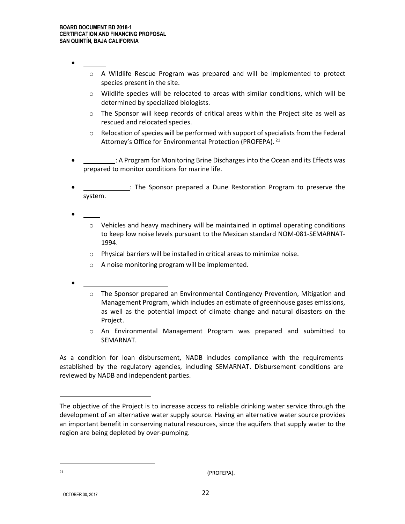- *Wildlife*
	- $\circ$  A Wildlife Rescue Program was prepared and will be implemented to protect species present in the site.
	- o Wildlife species will be relocated to areas with similar conditions, which will be determined by specialized biologists.
	- $\circ$  The Sponsor will keep records of critical areas within the Project site as well as rescued and relocated species.
	- $\circ$  Relocation of species will be performed with support of specialists from the Federal Attorney's Office for Environmental Protection (PROFEPA). <sup>21</sup>
- *Marine life*: A Program for Monitoring Brine Discharges into the Ocean and its Effects was prepared to monitor conditions for marine life.
- <u>Comassex and the Sponsor prepared a Dune Restoration Program to preserve the</u> system.
- *Noise* 
	- $\circ$  Vehicles and heavy machinery will be maintained in optimal operating conditions to keep low noise levels pursuant to the Mexican standard NOM-081-SEMARNAT-1994.
	- o Physical barriers will be installed in critical areas to minimize noise.
	- o A noise monitoring program will be implemented.
- *Environmental contingencies*
	- o The Sponsor prepared an Environmental Contingency Prevention, Mitigation and Management Program, which includes an estimate of greenhouse gases emissions, as well as the potential impact of climate change and natural disasters on the Project.
	- o An Environmental Management Program was prepared and submitted to SEMARNAT.

As a condition for loan disbursement, NADB includes compliance with the requirements established by the regulatory agencies, including SEMARNAT. Disbursement conditions are reviewed by NADB and independent parties.

 $\overline{a}$ 

*Natural Resource Conservation*

The objective of the Project is to increase access to reliable drinking water service through the development of an alternative water supply source. Having an alternative water source provides an important benefit in conserving natural resources, since the aquifers that supply water to the region are being depleted by over-pumping.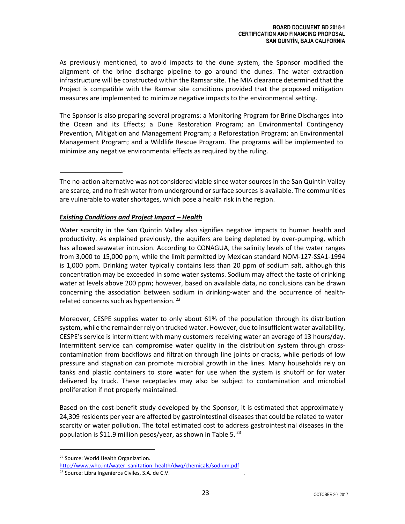As previously mentioned, to avoid impacts to the dune system, the Sponsor modified the alignment of the brine discharge pipeline to go around the dunes. The water extraction infrastructure will be constructed within the Ramsar site. The MIA clearance determined that the Project is compatible with the Ramsar site conditions provided that the proposed mitigation measures are implemented to minimize negative impacts to the environmental setting.

The Sponsor is also preparing several programs: a Monitoring Program for Brine Discharges into the Ocean and its Effects; a Dune Restoration Program; an Environmental Contingency Prevention, Mitigation and Management Program; a Reforestation Program; an Environmental Management Program; and a Wildlife Rescue Program. The programs will be implemented to minimize any negative environmental effects as required by the ruling.

The no‐action alternative was not considered viable since water sources in the San Quintín Valley are scarce, and no fresh water from underground or surface sources is available. The communities are vulnerable to water shortages, which pose a health risk in the region.

### *Existing Conditions and Project Impact – Health*

*No Action Alternative*

Water scarcity in the San Quintín Valley also signifies negative impacts to human health and productivity. As explained previously, the aquifers are being depleted by over-pumping, which has allowed seawater intrusion. According to CONAGUA, the salinity levels of the water ranges from 3,000 to 15,000 ppm, while the limit permitted by Mexican standard NOM-127-SSA1-1994 is 1,000 ppm. Drinking water typically contains less than 20 ppm of sodium salt, although this concentration may be exceeded in some water systems. Sodium may affect the taste of drinking water at levels above 200 ppm; however, based on available data, no conclusions can be drawn concerning the association between sodium in drinking-water and the occurrence of healthrelated concerns such as hypertension.<sup>22</sup>

Moreover, CESPE supplies water to only about 61% of the population through its distribution system, while the remainder rely on trucked water. However, due to insufficient water availability, CESPE's service is intermittent with many customers receiving water an average of 13 hours/day. Intermittent service can compromise water quality in the distribution system through crosscontamination from backflows and filtration through line joints or cracks, while periods of low pressure and stagnation can promote microbial growth in the lines. Many households rely on tanks and plastic containers to store water for use when the system is shutoff or for water delivered by truck. These receptacles may also be subject to contamination and microbial proliferation if not properly maintained.

Based on the cost-benefit study developed by the Sponsor, it is estimated that approximately 24,309 residents per year are affected by gastrointestinal diseases that could be related to water scarcity or water pollution. The total estimated cost to address gastrointestinal diseases in the population is \$11.9 million pesos/year, as shown in Table 5.<sup>23</sup>

<sup>&</sup>lt;sup>22</sup> Source: World Health Organization.

[http://www.who.int/water\\_sanitation\\_health/dwq/chemicals/sodium.pdf](http://www.who.int/water_sanitation_health/dwq/chemicals/sodium.pdf)

<sup>&</sup>lt;sup>23</sup> Source: Libra Ingenieros Civiles, S.A. de C.V.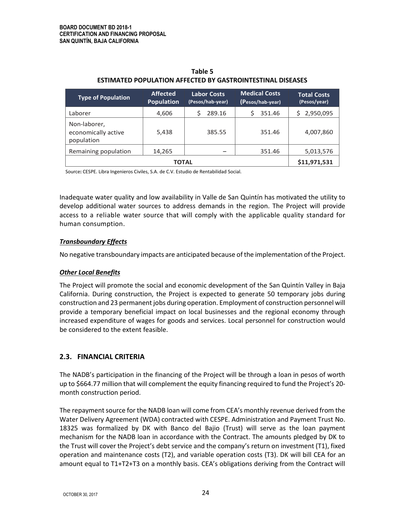| <b>Type of Population</b>                         | <b>Affected</b><br><b>Population</b> | <b>Labor Costs</b><br>(Pesos/hab-year) | <b>Medical Costs</b><br>(Pesos/hab-year) | <b>Total Costs</b><br>(Pesos/year) |
|---------------------------------------------------|--------------------------------------|----------------------------------------|------------------------------------------|------------------------------------|
| Laborer                                           | 4,606                                | Ś<br>289.16                            | 351.46                                   | 2,950,095<br>Ś.                    |
| Non-laborer,<br>economically active<br>population | 5,438                                | 385.55                                 | 351.46                                   | 4,007,860                          |
| Remaining population                              | 14,265                               |                                        | 351.46                                   | 5,013,576                          |
|                                                   | \$11,971,531                         |                                        |                                          |                                    |

#### **Table 5 ESTIMATED POPULATION AFFECTED BY GASTROINTESTINAL DISEASES**

Source**:** CESPE. Libra Ingenieros Civiles, S.A. de C.V. Estudio de Rentabilidad Social.

Inadequate water quality and low availability in Valle de San Quintín has motivated the utility to develop additional water sources to address demands in the region. The Project will provide access to a reliable water source that will comply with the applicable quality standard for human consumption.

### *Transboundary Effects*

No negative transboundary impacts are anticipated because of the implementation of the Project.

### *Other Local Benefits*

The Project will promote the social and economic development of the San Quintín Valley in Baja California. During construction, the Project is expected to generate 50 temporary jobs during construction and 23 permanent jobs during operation. Employment of construction personnel will provide a temporary beneficial impact on local businesses and the regional economy through increased expenditure of wages for goods and services. Local personnel for construction would be considered to the extent feasible.

## **2.3. FINANCIAL CRITERIA**

The NADB's participation in the financing of the Project will be through a loan in pesos of worth up to \$664.77 million that will complement the equity financing required to fund the Project's 20 month construction period.

The repayment source for the NADB loan will come from CEA's monthly revenue derived from the Water Delivery Agreement (WDA) contracted with CESPE. Administration and Payment Trust No. 18325 was formalized by DK with Banco del Bajio (Trust) will serve as the loan payment mechanism for the NADB loan in accordance with the Contract. The amounts pledged by DK to the Trust will cover the Project's debt service and the company's return on investment (T1), fixed operation and maintenance costs (T2), and variable operation costs (T3). DK will bill CEA for an amount equal to T1+T2+T3 on a monthly basis. CEA's obligations deriving from the Contract will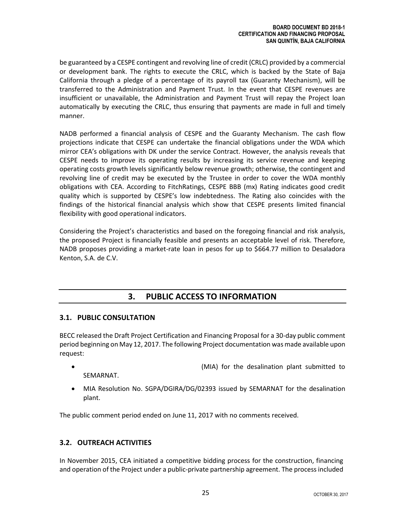be guaranteed by a CESPE contingent and revolving line of credit (CRLC) provided by a commercial or development bank. The rights to execute the CRLC, which is backed by the State of Baja California through a pledge of a percentage of its payroll tax (Guaranty Mechanism), will be transferred to the Administration and Payment Trust. In the event that CESPE revenues are insufficient or unavailable, the Administration and Payment Trust will repay the Project loan automatically by executing the CRLC, thus ensuring that payments are made in full and timely manner.

NADB performed a financial analysis of CESPE and the Guaranty Mechanism. The cash flow projections indicate that CESPE can undertake the financial obligations under the WDA which mirror CEA's obligations with DK under the service Contract. However, the analysis reveals that CESPE needs to improve its operating results by increasing its service revenue and keeping operating costs growth levels significantly below revenue growth; otherwise, the contingent and revolving line of credit may be executed by the Trustee in order to cover the WDA monthly obligations with CEA. According to FitchRatings, CESPE BBB (mx) Rating indicates good credit quality which is supported by CESPE's low indebtedness. The Rating also coincides with the findings of the historical financial analysis which show that CESPE presents limited financial flexibility with good operational indicators.

Considering the Project's characteristics and based on the foregoing financial and risk analysis, the proposed Project is financially feasible and presents an acceptable level of risk. Therefore, NADB proposes providing a market-rate loan in pesos for up to \$664.77 million to Desaladora Kenton, S.A. de C.V.

# **3. PUBLIC ACCESS TO INFORMATION**

# **3.1. PUBLIC CONSULTATION**

BECC released the Draft Project Certification and Financing Proposal for a 30-day public comment period beginning on May 12, 2017. The following Project documentation was made available upon request:

- *Manifestación de Impacto Ambiental* (MIA) for the desalination plant submitted to SEMARNAT.
- MIA Resolution No. SGPA/DGIRA/DG/02393 issued by SEMARNAT for the desalination plant.

The public comment period ended on June 11, 2017 with no comments received.

# **3.2. OUTREACH ACTIVITIES**

In November 2015, CEA initiated a competitive bidding process for the construction, financing and operation of the Project under a public-private partnership agreement. The process included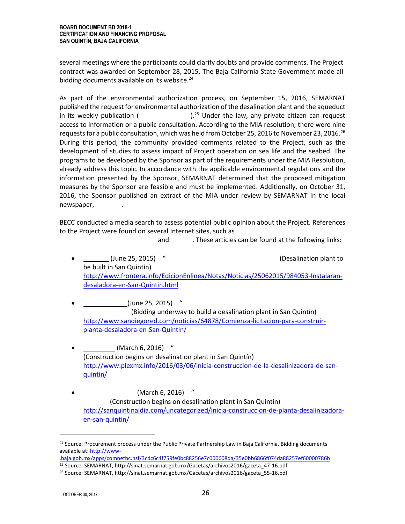several meetings where the participants could clarify doubts and provide comments. The Project contract was awarded on September 28, 2015. The Baja California State Government made all bidding documents available on its website.<sup>24</sup>

As part of the environmental authorization process, on September 15, 2016, SEMARNAT published the request for environmental authorization of the desalination plant and the aqueduct in its weekly publication (  $2^{25}$  Under the law, any private citizen can request access to information or a public consultation. According to the MIA resolution, there were nine requests for a public consultation, which was held from October 25, 2016 to November 23, 2016.<sup>26</sup> During this period, the community provided comments related to the Project, such as the development of studies to assess impact of Project operation on sea life and the seabed. The programs to be developed by the Sponsor as part of the requirements under the MIA Resolution, already address this topic. In accordance with the applicable environmental regulations and the information presented by the Sponsor, SEMARNAT determined that the proposed mitigation measures by the Sponsor are feasible and must be implemented. Additionally, on October 31, 2016, the Sponsor published an extract of the MIA under review by SEMARNAT in the local newspaper, *Frontera*.

BECC conducted a media search to assess potential public opinion about the Project. References to the Project were found on several Internet sites, such as *Frontera, San Diego Red, Plex online,* 

and **FRI All and** *Ele Economista and* **Elgeria**. These articles can be found at the following links:

- *Frontera* (June 25, 2015) "*Instalarán desaladora en San Quintín"* (Desalination plant to be built in San Quintín) [http://www.frontera.info/EdicionEnlinea/Notas/Noticias/25062015/984053-Instalaran](http://www.frontera.info/EdicionEnlinea/Notas/Noticias/25062015/984053-Instalaran-desaladora-en-San-Quintin.html)[desaladora-en-San-Quintin.html](http://www.frontera.info/EdicionEnlinea/Notas/Noticias/25062015/984053-Instalaran-desaladora-en-San-Quintin.html)
- *San Diego Red* (June 25, 2015) "*Comienza licitación para construir planta desaladora en San Quintín"* (Bidding underway to build a desalination plant in San Quintín) [http://www.sandiegored.com/noticias/64878/Comienza-licitacion-para-construir](http://www.sandiegored.com/noticias/64878/Comienza-licitacion-para-construir-planta-desaladora-en-San-Quintin/)[planta-desaladora-en-San-Quintin/](http://www.sandiegored.com/noticias/64878/Comienza-licitacion-para-construir-planta-desaladora-en-San-Quintin/)
- *Plex online* (March 6, 2016) "*Inicia construcción de la desalinizadora de San Quintín"*  (Construction begins on desalination plant in San Quintín) [http://www.plexmx.info/2016/03/06/inicia-construccion-de-la-desalinizadora-de-san](http://www.plexmx.info/2016/03/06/inicia-construccion-de-la-desalinizadora-de-san-quintin/)[quintin/](http://www.plexmx.info/2016/03/06/inicia-construccion-de-la-desalinizadora-de-san-quintin/)
- *San Quintín al día* (March 6, 2016) "*Inicia construcción de planta desalinizadora en San Quintín"* (Construction begins on desalination plant in San Quintín) [http://sanquintinaldia.com/uncategorized/inicia-construccion-de-planta-desalinizadora](http://sanquintinaldia.com/uncategorized/inicia-construccion-de-planta-desalinizadora-en-san-quintin/)[en-san-quintin/](http://sanquintinaldia.com/uncategorized/inicia-construccion-de-planta-desalinizadora-en-san-quintin/)

 $\overline{a}$ 

<sup>&</sup>lt;sup>24</sup> Source: Procurement process under the Public Private Partnership Law in Baja California. Bidding documents available at[: http://www-](http://www-.baja.gob.mx/apps/comnetbc.nsf/3cdc6c4f759fe0bc88256e7c000608da/35e0bb6866f074da88257ef60000786b)

[<sup>.</sup>baja.gob.mx/apps/comnetbc.nsf/3cdc6c4f759fe0bc88256e7c000608da/35e0bb6866f074da88257ef60000786b](http://www-.baja.gob.mx/apps/comnetbc.nsf/3cdc6c4f759fe0bc88256e7c000608da/35e0bb6866f074da88257ef60000786b) <sup>25</sup> Source: SEMARNAT, http://sinat.semarnat.gob.mx/Gacetas/archivos2016/gaceta\_47-16.pdf

<sup>26</sup> Source: SEMARNAT, http://sinat.semarnat.gob.mx/Gacetas/archivos2016/gaceta\_55-16.pdf